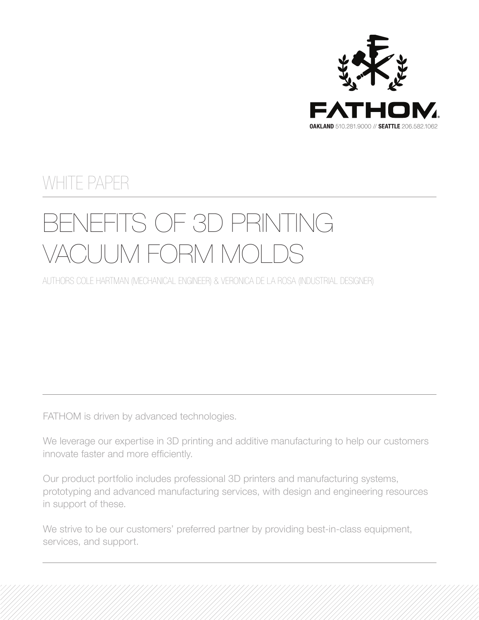

# WHITE PAPER

# BENEFITS OF 3D PRINTING VACUUM FORM MOLDS

AUTHORS COLE HARTMAN (MECHANICAL ENGINEER) & VERONICA DE LA ROSA (INDUSTRIAL DESIGNER)

FATHOM is driven by advanced technologies.

We leverage our expertise in 3D printing and additive manufacturing to help our customers innovate faster and more efficiently.

Our product portfolio includes professional 3D printers and manufacturing systems, prototyping and advanced manufacturing services, with design and engineering resources in support of these.

We strive to be our customers' preferred partner by providing best-in-class equipment, services, and support.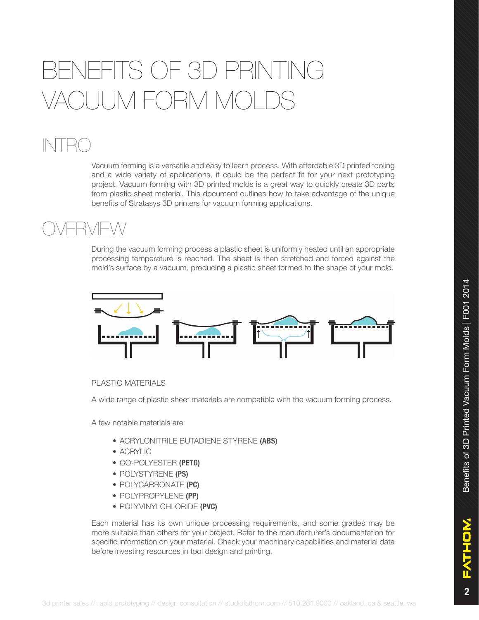# FITS OF 3D PRINTING ACUUM FORM MOLI

# INTRO

Vacuum forming is a versatile and easy to learn process. With affordable 3D printed tooling and a wide variety of applications, it could be the perfect fit for your next prototyping project. Vacuum forming with 3D printed molds is a great way to quickly create 3D parts from plastic sheet material. This document outlines how to take advantage of the unique benefits of Stratasys 3D printers for vacuum forming applications.

### OVERVIEW

During the vacuum forming process a plastic sheet is uniformly heated until an appropriate processing temperature is reached. The sheet is then stretched and forced against the mold's surface by a vacuum, producing a plastic sheet formed to the shape of your mold.



#### PLASTIC MATERIALS

A wide range of plastic sheet materials are compatible with the vacuum forming process.

A few notable materials are:

- ACRYLONITRILE BUTADIENE STYRENE **(ABS)**
- ACRYLIC
- CO-POLYESTER **(PETG)**
- POLYSTYRENE **(PS)**
- POLYCARBONATE **(PC)**
- POLYPROPYLENE **(PP)**
- POLYVINYLCHLORIDE **(PVC)**

Each material has its own unique processing requirements, and some grades may be more suitable than others for your project. Refer to the manufacturer's documentation for specific information on your material. Check your machinery capabilities and material data before investing resources in tool design and printing.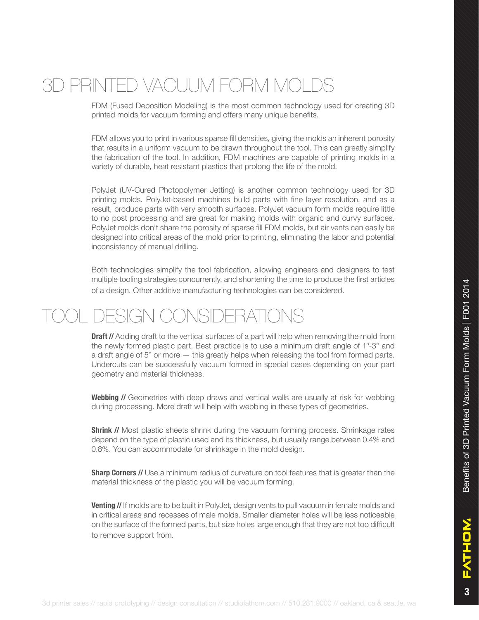## 3D PRINTED VACUUM FORM MOL

FDM (Fused Deposition Modeling) is the most common technology used for creating 3D printed molds for vacuum forming and offers many unique benefits.

FDM allows you to print in various sparse fill densities, giving the molds an inherent porosity that results in a uniform vacuum to be drawn throughout the tool. This can greatly simplify the fabrication of the tool. In addition, FDM machines are capable of printing molds in a variety of durable, heat resistant plastics that prolong the life of the mold.

PolyJet (UV-Cured Photopolymer Jetting) is another common technology used for 3D printing molds. PolyJet-based machines build parts with fine layer resolution, and as a result, produce parts with very smooth surfaces. PolyJet vacuum form molds require little to no post processing and are great for making molds with organic and curvy surfaces. PolyJet molds don't share the porosity of sparse fill FDM molds, but air vents can easily be designed into critical areas of the mold prior to printing, eliminating the labor and potential inconsistency of manual drilling.

Both technologies simplify the tool fabrication, allowing engineers and designers to test multiple tooling strategies concurrently, and shortening the time to produce the first articles of a design. Other additive manufacturing technologies can be considered.

### DESIGN CONSIDERATIONS

**Draft //** Adding draft to the vertical surfaces of a part will help when removing the mold from the newly formed plastic part. Best practice is to use a minimum draft angle of 1°-3° and a draft angle of 5° or more — this greatly helps when releasing the tool from formed parts. Undercuts can be successfully vacuum formed in special cases depending on your part geometry and material thickness.

**Webbing //** Geometries with deep draws and vertical walls are usually at risk for webbing during processing. More draft will help with webbing in these types of geometries.

**Shrink //** Most plastic sheets shrink during the vacuum forming process. Shrinkage rates depend on the type of plastic used and its thickness, but usually range between 0.4% and 0.8%. You can accommodate for shrinkage in the mold design.

**Sharp Corners //** Use a minimum radius of curvature on tool features that is greater than the material thickness of the plastic you will be vacuum forming.

**Venting //** If molds are to be built in PolyJet, design vents to pull vacuum in female molds and in critical areas and recesses of male molds. Smaller diameter holes will be less noticeable on the surface of the formed parts, but size holes large enough that they are not too difficult to remove support from.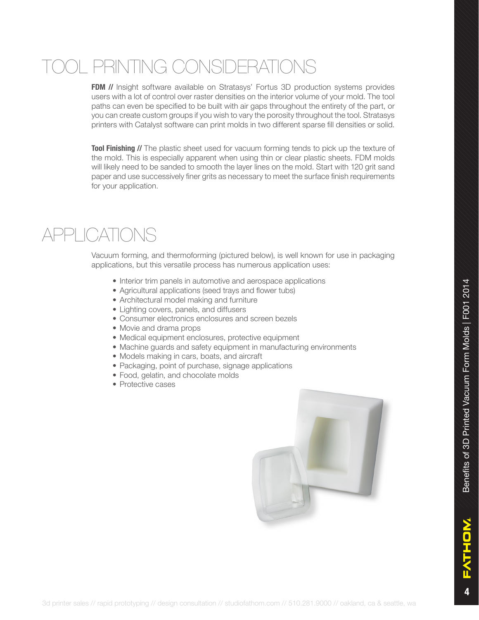# )L PRINTING CONSIDERATIONS

**FDM //** Insight software available on Stratasys' Fortus 3D production systems provides users with a lot of control over raster densities on the interior volume of your mold. The tool paths can even be specified to be built with air gaps throughout the entirety of the part, or you can create custom groups if you wish to vary the porosity throughout the tool. Stratasys printers with Catalyst software can print molds in two different sparse fill densities or solid.

**Tool Finishing //** The plastic sheet used for vacuum forming tends to pick up the texture of the mold. This is especially apparent when using thin or clear plastic sheets. FDM molds will likely need to be sanded to smooth the layer lines on the mold. Start with 120 grit sand paper and use successively finer grits as necessary to meet the surface finish requirements for your application.

### APPLICATIONS

Vacuum forming, and thermoforming (pictured below), is well known for use in packaging applications, but this versatile process has numerous application uses:

- Interior trim panels in automotive and aerospace applications
- Agricultural applications (seed trays and flower tubs)
- Architectural model making and furniture
- Lighting covers, panels, and diffusers
- Consumer electronics enclosures and screen bezels
- Movie and drama props
- Medical equipment enclosures, protective equipment
- Machine guards and safety equipment in manufacturing environments
- Models making in cars, boats, and aircraft
- Packaging, point of purchase, signage applications
- Food, gelatin, and chocolate molds
- Protective cases